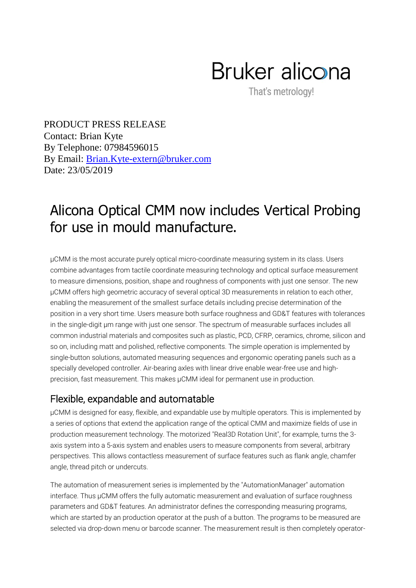## Bruker alicona

That's metrology!

PRODUCT PRESS RELEASE  $\ddot{\phantom{1}}$ 5 Contact: Brian Kyte 6 By Telephone: 07984596015 By Email: *Brian.Kyte-extern@bruker.com* Date: 23/05/2019

## Alicona Optical CMM now includes Vertical Probing for use in mould manufacture.

µCMM is the most accurate purely optical micro-coordinate measuring system in its class. Users combine advantages from tactile coordinate measuring technology and optical surface measurement to measure dimensions, position, shape and roughness of components with just one sensor. The new µCMM offers high geometric accuracy of several optical 3D measurements in relation to each other, enabling the measurement of the smallest surface details including precise determination of the position in a very short time. Users measure both surface roughness and GD&T features with tolerances in the single-digit µm range with just one sensor. The spectrum of measurable surfaces includes all common industrial materials and composites such as plastic, PCD, CFRP, ceramics, chrome, silicon and so on, including matt and polished, reflective components. The simple operation is implemented by single-button solutions, automated measuring sequences and ergonomic operating panels such as a specially developed controller. Air-bearing axles with linear drive enable wear-free use and highprecision, fast measurement. This makes µCMM ideal for permanent use in production.

## Flexible, expandable and automatable

µCMM is designed for easy, flexible, and expandable use by multiple operators. This is implemented by a series of options that extend the application range of the optical CMM and maximize fields of use in production measurement technology. The motorized "Real3D Rotation Unit", for example, turns the 3 axis system into a 5-axis system and enables users to measure components from several, arbitrary perspectives. This allows contactless measurement of surface features such as flank angle, chamfer angle, thread pitch or undercuts.

The automation of measurement series is implemented by the "AutomationManager" automation interface. Thus µCMM offers the fully automatic measurement and evaluation of surface roughness parameters and GD&T features. An administrator defines the corresponding measuring programs, which are started by an production operator at the push of a button. The programs to be measured are selected via drop-down menu or barcode scanner. The measurement result is then completely operator